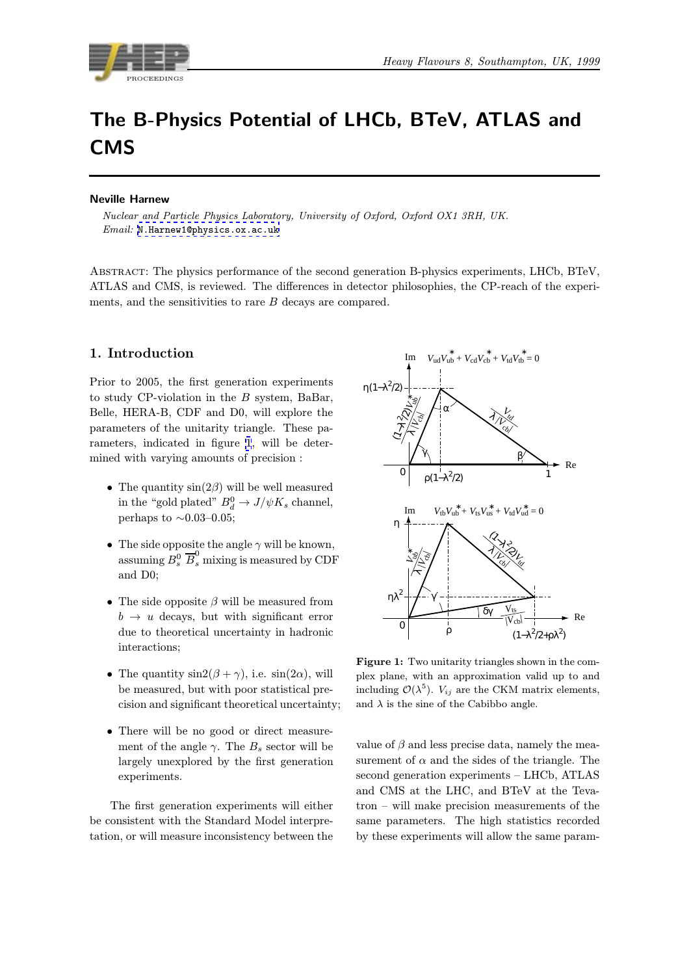

# The B-Physics Potential of LHCb, BTeV, ATLAS and **CMS**

### Neville Harnew

Nuclear and Particle Physics Laboratory, University of Oxford, Oxford OX1 3RH, UK. Email: N.Harnew1@physics.ox.ac.uk

Abstract: The physics performance of the second generation B-physics experiments, LHCb, BTeV, ATLAS [and CMS, is reviewed. The d](mailto:N.Harnew1@physics.ox.ac.uk)ifferences in detector philosophies, the CP-reach of the experiments, and the sensitivities to rare B decays are compared.

### 1. Introduction

Prior to 2005, the first generation experiments to study CP-violation in the B system, BaBar, Belle, HERA-B, CDF and D0, will explore the parameters of the unitarity triangle. These parameters, indicated in figure 1, will be determined with varying amounts of precision :

- The quantity  $sin(2\beta)$  will be well measured in the "gold plated"  $B_d^0 \rightarrow J/\psi K_s$  channel, perhaps to  $\sim 0.03-0.05$ ;
- The side opposite the angle  $\gamma$  will be known, assuming  $B_s^0$   $\overline{B}_s^0$  mixing is measured by CDF and D0;
- The side opposite  $\beta$  will be measured from  $b \rightarrow u$  decays, but with significant error due to theoretical uncertainty in hadronic interactions;
- The quantity  $\sin 2(\beta + \gamma)$ , i.e.  $\sin(2\alpha)$ , will be measured, but with poor statistical precision and significant theoretical uncertainty;
- There will be no good or direct measurement of the angle  $\gamma$ . The  $B_s$  sector will be largely unexplored by the first generation experiments.

The first generation experiments will either be consistent with the Standard Model interpretation, or will measure inconsistency between the



Figure 1: Two unitarity triangles shown in the complex plane, with an approximation valid up to and including  $\mathcal{O}(\lambda^5)$ .  $V_{ij}$  are the CKM matrix elements, and  $\lambda$  is the sine of the Cabibbo angle.

value of  $\beta$  and less precise data, namely the measurement of  $\alpha$  and the sides of the triangle. The second generation experiments – LHCb, ATLAS and CMS at the LHC, and BTeV at the Tevatron – will make precision measurements of the same parameters. The high statistics recorded by these experiments will allow the same param-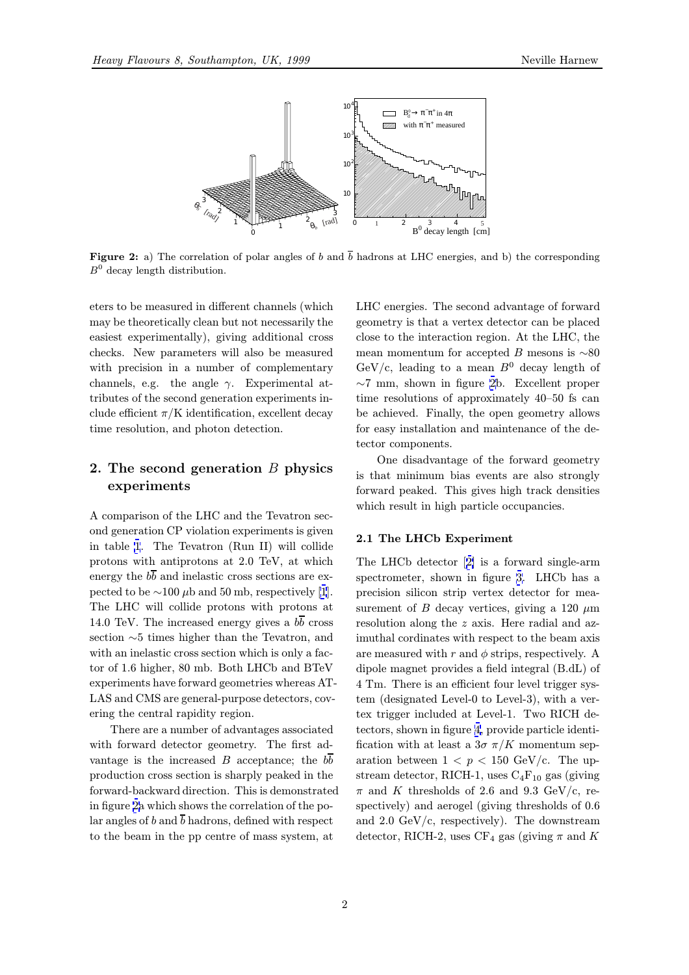

**Figure 2:** a) The correlation of polar angles of b and  $\overline{b}$  hadrons at LHC energies, and b) the corresponding  $B^0$  decay length distribution.

eters to be measured in different channels (which may be theoretically clean but not necessarily the easiest experimentally), giving additional cross checks. New parameters will also be measured with precision in a number of complementary channels, e.g. the angle  $\gamma$ . Experimental attributes of the second generation experiments include efficient  $\pi/K$  identification, excellent decay time resolution, and photon detection.

# 2. The second generation  $B$  physics experiments

A comparison of the LHC and the Tevatron second generation CP violation experiments is given in table 1. The Tevatron (Run II) will collide protons with antiprotons at 2.0 TeV, at which energy the  $b\overline{b}$  and inelastic cross sections are expected to be  $\sim$ 100 µb and 50 mb, respectively [1]. The LH[C](#page-2-0) will collide protons with protons at 14.0 TeV. The increased energy gives a  $b\overline{b}$  cross section ∼5 times higher than the Tevatron, and with an inelastic cross section which is only a f[ac](#page-9-0)tor of 1.6 higher, 80 mb. Both LHCb and BTeV experiments have forward geometries whereas AT-LAS and CMS are general-purpose detectors, covering the central rapidity region.

There are a number of advantages associated with forward detector geometry. The first advantage is the increased B acceptance; the  $b\overline{b}$ production cross section is sharply peaked in the forward-backward direction. This is demonstrated in figure 2a which shows the correlation of the polar angles of b and  $\overline{b}$  hadrons, defined with respect to the beam in the pp centre of mass system, at

LHC energies. The second advantage of forward geometry is that a vertex detector can be placed close to the interaction region. At the LHC, the mean momentum for accepted B mesons is  $~\sim 80$ GeV/c, leading to a mean  $B^0$  decay length of ∼7 mm, shown in figure 2b. Excellent proper time resolutions of approximately 40–50 fs can be achieved. Finally, the open geometry allows for easy installation and maintenance of the detector components.

One disadvantage of the forward geometry is that minimum bias events are also strongly forward peaked. This gives high track densities which result in high particle occupancies.

### 2.1 The LHCb Experiment

The LHCb detector [2] is a forward single-arm spectrometer, shown in figure 3. LHCb has a precision silicon strip vertex detector for measurement of B decay vertices, giving a 120  $\mu$ m resolution along the z [a](#page-9-0)xis. Here radial and azimuthal cordinates with respect [to](#page-2-0) the beam axis are measured with r and  $\phi$  strips, respectively. A dipole magnet provides a field integral (B.dL) of 4 Tm. There is an efficient four level trigger system (designated Level-0 to Level-3), with a vertex trigger included at Level-1. Two RICH detectors, shown in figure 4, provide particle identification with at least a  $3\sigma \pi/K$  momentum separation between  $1 < p < 150$  GeV/c. The upstream detector, RICH-1, uses  $C_4F_{10}$  gas (giving  $\pi$  and K thresholds of [2](#page-3-0).6 and 9.3 GeV/c, respectively) and aerogel (giving thresholds of 0.6 and  $2.0 \text{ GeV/c}$ , respectively). The downstream detector, RICH-2, uses  $CF_4$  gas (giving  $\pi$  and K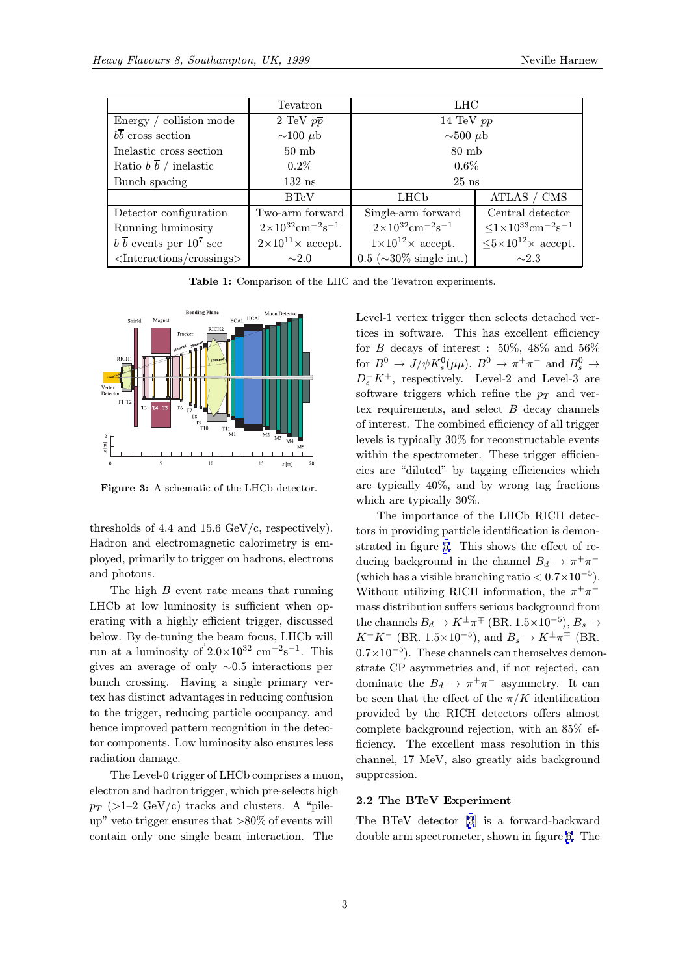<span id="page-2-0"></span>

|                                      | Tevatron                                          | LHC                                                                      |                                                            |  |
|--------------------------------------|---------------------------------------------------|--------------------------------------------------------------------------|------------------------------------------------------------|--|
| Energy / collision mode              | 2 TeV $p\overline{p}$                             | 14 TeV $pp$                                                              |                                                            |  |
| b cross section                      | $\sim$ 100 $\mu$ b                                | $\sim$ 500 $\mu$ b                                                       |                                                            |  |
| Inelastic cross section              | $50$ mb                                           | $80 \text{ mb}$                                                          |                                                            |  |
| Ratio $b\bar{b}$ / inelastic         | $0.2\%$                                           | $0.6\%$                                                                  |                                                            |  |
| Bunch spacing                        | $132$ ns                                          | $25$ ns                                                                  |                                                            |  |
|                                      | <b>BTeV</b>                                       | LHCb                                                                     | ATLAS / CMS                                                |  |
| Detector configuration               | Two-arm forward                                   | Single-arm forward                                                       | Central detector                                           |  |
| Running luminosity                   | $2\times10^{32}$ cm <sup>-2</sup> s <sup>-1</sup> | $2\times10^{32}$ cm <sup>-2</sup> s <sup>-1</sup>                        | $\leq$ 1×10 <sup>33</sup> cm <sup>-2</sup> s <sup>-1</sup> |  |
| $b\bar{b}$ events per $10^7$ sec     | $2\times10^{11}\times$ accept.                    | $\leq 5 \times 10^{12} \times$ accept.<br>$1\times10^{12}\times$ accept. |                                                            |  |
| $\langle$ Interactions/crossings $>$ | $\sim2.0$                                         | $0.5~(\sim30\%~\text{single int.})$                                      | $\sim\!\!2.3$                                              |  |

Table 1: Comparison of the LHC and the Tevatron experiments.



Figure 3: A schematic of the LHCb detector.

thresholds of 4.4 and 15.6  $GeV/c$ , respectively). Hadron and electromagnetic calorimetry is employed, primarily to trigger on hadrons, electrons and photons.

run at a luminosity of  $2.0 \times 10^{32}$  cm<sup>-2</sup>s<sup>-1</sup>. This The high  $B$  event rate means that running LHCb at low luminosity is sufficient when operating with a highly efficient trigger, discussed below. By de-tuning the beam focus, LHCb will gives an average of only ∼0.5 interactions per bunch crossing. Having a single primary vertex has distinct advantages in reducing confusion to the trigger, reducing particle occupancy, and hence improved pattern recognition in the detector components. Low luminosity also ensures less radiation damage.

The Level-0 trigger of LHCb comprises a muon, electron and hadron trigger, which pre-selects high  $p_T$  (>1–2 GeV/c) tracks and clusters. A "pileup" veto trigger ensures that >80% of events will contain only one single beam interaction. The

Level-1 vertex trigger then selects detached vertices in software. This has excellent efficiency for B decays of interest :  $50\%$ ,  $48\%$  and  $56\%$ for  $B^0 \to J/\psi K^0_s(\mu\mu)$ ,  $B^0 \to \pi^+\pi^-$  and  $B^0_s \to$  $D_s^- K^+$ , respectively. Level-2 and Level-3 are software triggers which refine the  $p_T$  and vertex requirements, and select  $B$  decay channels of interest. The combined efficiency of all trigger levels is typically 30% for reconstructable events within the spectrometer. These trigger efficiencies are "diluted" by tagging efficiencies which are typically 40%, and by wrong tag fractions which are typically 30%.

The importance of the LHCb RICH detectors in providing particle identification is demonstrated in figure 5. This shows the effect of reducing background in the channel  $B_d \to \pi^+\pi^-$ (which has a visible branching ratio  $< 0.7 \times 10^{-5}$ ). Without utilizing RICH information, the  $\pi^+\pi^$ mass distribution [s](#page-3-0)uffers serious background from the channels  $B_d \to K^{\pm} \pi^{\mp}$  (BR. 1.5×10<sup>-5</sup>),  $B_s \to$  $K^+K^-$  (BR. 1.5×10<sup>-5</sup>), and  $B_s \to K^{\pm}\pi^{\mp}$  (BR.  $0.7\times10^{-5}$ ). These channels can themselves demonstrate CP asymmetries and, if not rejected, can dominate the  $B_d \to \pi^+\pi^-$  asymmetry. It can be seen that the effect of the  $\pi/K$  identification provided by the RICH detectors offers almost complete background rejection, with an 85% efficiency. The excellent mass resolution in this channel, 17 MeV, also greatly aids background suppression.

### 2.2 The BTeV Experiment

The BTeV detector [3] is a forward-backward double arm spectrometer, shown in figure 6. The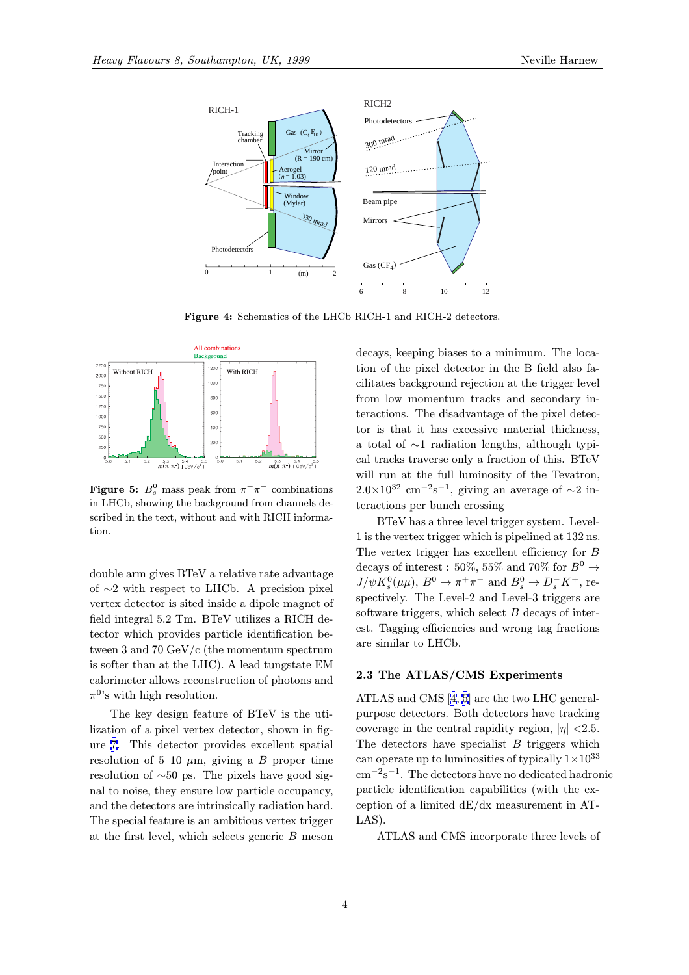<span id="page-3-0"></span>

Figure 4: Schematics of the LHCb RICH-1 and RICH-2 detectors.



**Figure 5:**  $B_s^0$  mass peak from  $\pi^+\pi^-$  combinations<br>in LHCh, showing the healtmound from shappels dein LHCb, showing the background from channels described in the text, without and with RICH information.

double arm gives BTeV a relative rate advantage of ∼2 with respect to LHCb. A precision pixel vertex detector is sited inside a dipole magnet of field integral 5.2 Tm. BTeV utilizes a RICH detector which provides particle identification between 3 and 70 GeV/c (the momentum spectrum is softer than at the LHC). A lead tungstate EM calorimeter allows reconstruction of photons and  $\pi^{0}$ 's with high resolution.

The key design feature of BTeV is the utilization of a pixel vertex detector, shown in figure 7. This detector provides excellent spatial resolution of 5–10  $\mu$ m, giving a B proper time resolution of ∼50 ps. The pixels have good signal to noise, they ensure low particle occupancy, and [th](#page-4-0)e detectors are intrinsically radiation hard. The special feature is an ambitious vertex trigger at the first level, which selects generic  $B$  meson

decays, keeping biases to a minimum. The location of the pixel detector in the B field also facilitates background rejection at the trigger level from low momentum tracks and secondary interactions. The disadvantage of the pixel detector is that it has excessive material thickness, a total of ∼1 radiation lengths, although typical tracks traverse only a fraction of this. BTeV will run at the full luminosity of the Tevatron,  $2.0\times10^{32}$  cm<sup>-2</sup>s<sup>-1</sup>, giving an average of ~2 interactions per bunch crossing

BTeV has a three level trigger system. Level-1 is the vertex trigger which is pipelined at 132 ns. The vertex trigger has excellent efficiency for B decays of interest : 50\%, 55\% and 70\% for  $B^0 \rightarrow$  $J/\psi K_s^0(\mu\mu)$ ,  $B^0 \to \pi^+\pi^-$  and  $B_s^0 \to D_s^-K^+$ , respectively. The Level-2 and Level-3 triggers are software triggers, which select  $B$  decays of interest. Tagging efficiencies and wrong tag fractions are similar to LHCb.

#### 2.3 The ATLAS/CMS Experiments

ATLAS and CMS [4, 5] are the two LHC generalpurpose detectors. Both detectors have tracking coverage in the central rapidity region,  $|\eta|$  < 2.5. The detectors have specialist  $B$  triggers which can operate up to l[umin](#page-9-0)osities of typically  $1\times10^{33}$ cm−<sup>2</sup>s−<sup>1</sup>. The detectors have no dedicated hadronic particle identification capabilities (with the exception of a limited dE/dx measurement in AT-LAS).

ATLAS and CMS incorporate three levels of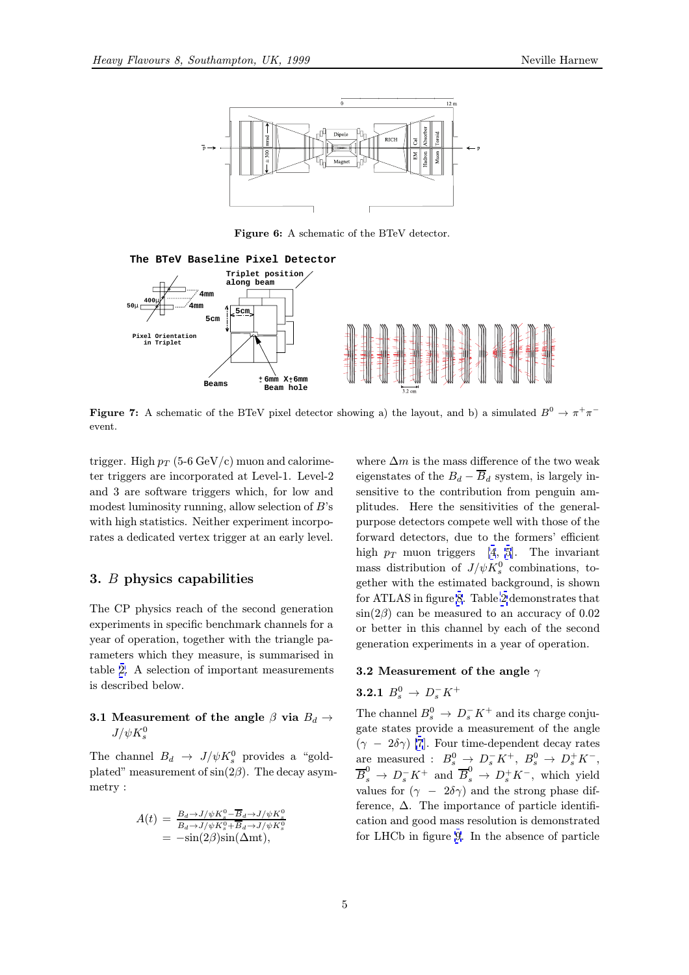<span id="page-4-0"></span>

Figure 6: A schematic of the BTeV detector.



**Figure 7:** A schematic of the BTeV pixel detector showing a) the layout, and b) a simulated  $B^0 \to \pi^+\pi^$ event.

trigger. High  $p_T$  (5-6 GeV/c) muon and calorimeter triggers are incorporated at Level-1. Level-2 and 3 are software triggers which, for low and modest luminosity running, allow selection of B's with high statistics. Neither experiment incorporates a dedicated vertex trigger at an early level.

### 3. B physics capabilities

The CP physics reach of the second generation experiments in specific benchmark channels for a year of operation, together with the triangle parameters which they measure, is summarised in table 2. A selection of important measurements is described below.

### 3.1 Measurement of the angle  $\beta$  via  $B_d \rightarrow$  $J/\psi K^0_s$

The channel  $B_d \rightarrow J/\psi K_s^0$  provides a "goldplated" measurement of  $\sin(2\beta)$ . The decay asymmetry :

$$
A(t) = \frac{B_d \rightarrow J/\psi K_s^0 - \overline{B}_d \rightarrow J/\psi K_s^0}{B_d \rightarrow J/\psi K_s^0 + \overline{B}_d \rightarrow J/\psi K_s^0}
$$
  
= 
$$
-\sin(2\beta)\sin(\Delta m t),
$$

where  $\Delta m$  is the mass difference of the two weak eigenstates of the  $B_d - \overline{B}_d$  system, is largely insensitive to the contribution from penguin amplitudes. Here the sensitivities of the generalpurpose detectors compete well with those of the forward detectors, due to the formers' efficient high  $p_T$  muon triggers [4, 5]. The invariant mass distribution of  $J/\psi K_s^0$  combinations, together with the estimated background, is shown for ATLAS in figure 8. Table 2 demonstrates that  $\sin(2\beta)$  can be measured [to](#page-9-0) [an](#page-9-0) accuracy of 0.02 or better in this channel by each of the second generation experim[en](#page-5-0)ts in a [ye](#page-5-0)ar of operation.

#### 3.2 Measurement of the angle  $\gamma$

**3.2.1** 
$$
B_s^0 \to D_s^- K^+
$$

The channel  $B_s^0 \to D_s^- K^+$  and its charge conjugate states provide a measurement of the angle  $(\gamma - 2\delta\gamma)$  [7]. Four time-dependent decay rates are measured :  $B_s^0 \rightarrow D_s^- K^+$ ,  $B_s^0 \rightarrow D_s^+ K^-$ ,  $\overline{B}_s^0 \to D_s^- K^+$  and  $\overline{B}_s^0 \to D_s^+ K^-$ , which yield values for  $(\gamma - 2\delta \gamma)$  and the strong phase difference,  $\Delta$ . [T](#page-9-0)he importance of particle identification and good mass resolution is demonstrated for LHCb in figure 9. In the absence of particle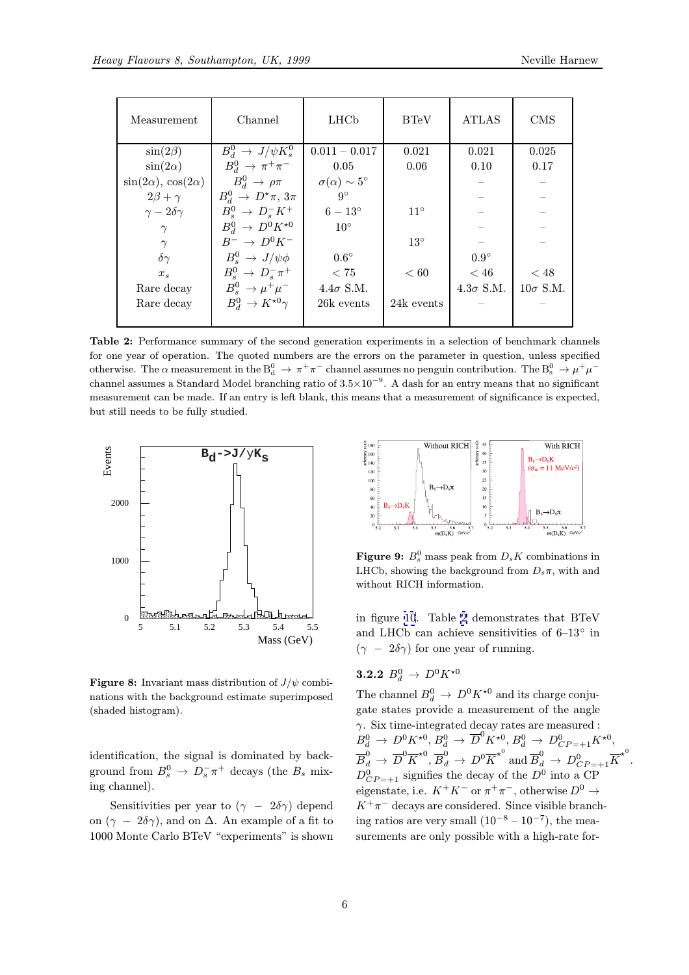<span id="page-5-0"></span>

| Measurement                       | Channel                             | LHCb                            | <b>BTeV</b>  | <b>ATLAS</b>     | <b>CMS</b>      |
|-----------------------------------|-------------------------------------|---------------------------------|--------------|------------------|-----------------|
| $\sin(2\beta)$                    | $B_d^0 \rightarrow J/\psi K_s^0$    | $0.011 - 0.017$                 | 0.021        | 0.021            | 0.025           |
| $\sin(2\alpha)$                   | $B_d^0 \rightarrow \pi^+\pi^-$      | 0.05                            | 0.06         | 0.10             | 0.17            |
| $\sin(2\alpha)$ , $\cos(2\alpha)$ | $B_d^0 \rightarrow \rho \pi$        | $\sigma(\alpha) \sim 5^{\circ}$ |              |                  |                 |
| $2\beta + \gamma$                 | $B_d^0 \rightarrow D^*\pi, 3\pi$    | $9^\circ$                       |              |                  |                 |
| $\gamma-2\delta\gamma$            | $B^0_s \to D_s^- K^+$               | $6-13^{\circ}$                  | $11^{\circ}$ |                  |                 |
| $\gamma$                          | $B_d^0 \rightarrow D^0 K^{\star 0}$ | $10^{\circ}$                    |              |                  |                 |
| $\gamma$                          | $B^ \rightarrow$ $D^0 K^-$          |                                 | $13^{\circ}$ |                  |                 |
| $\delta\gamma$                    | $B_s^0 \rightarrow J/\psi \phi$     | $0.6^\circ$                     |              | $0.9^\circ$      |                 |
| $x_{s}$                           | $B^0_s \to D^-_s \pi^+$             | < 75                            | < 60         | < 46             | < 48            |
| Rare decay                        | $B^0_s \rightarrow \mu^+\mu^-$      | $4.4\sigma$ S.M.                |              | $4.3\sigma$ S.M. | $10\sigma$ S.M. |
| Rare decay                        | $B_d^0 \to K^{\star 0} \gamma$      | 26k events                      | 24k events   |                  |                 |
|                                   |                                     |                                 |              |                  |                 |

Table 2: Performance summary of the second generation experiments in a selection of benchmark channels for one year of operation. The quoted numbers are the errors on the parameter in question, unless specified otherwise. The  $\alpha$  measurement in the  $B_d^0 \to \pi^+\pi^-$  channel assumes no penguin contribution. The  $B_s^0 \to \mu^+\mu^$ channel assumes a Standard Model branching ratio of  $3.5\times10^{-9}$ . A dash for an entry means that no significant measurement can be made. If an entry is left blank, this means that a measurement of significance is expected, but still needs to be fully studied.



**Figure 8:** Invariant mass distribution of  $J/\psi$  combinations with the background estimate superimposed (shaded histogram).

identification, the signal is dominated by background from  $B_s^0 \to D_s^- \pi^+$  decays (the  $B_s$  mixing channel).

Sensitivities per year to  $(\gamma - 2\delta \gamma)$  depend on  $(\gamma - 2\delta \gamma)$ , and on  $\Delta$ . An example of a fit to 1000 Monte Carlo BTeV "experiments" is shown



**Figure 9:**  $B_s^0$  mass peak from  $D_s K$  combinations in <br>LHCb, chowing the hadispayed from  $D_s \pi$  with and LHCb, showing the background from  $D_s\pi$ , with and without RICH information.

in figure 10. Table 2 demonstrates that BTeV and LHCb can achieve sensitivities of 6–13◦ in  $(\gamma - 2\delta \gamma)$  for one year of running.

# **3.2.2**  $B_d^0 \to D^0 K^{\star 0}$

The channel  $B_d^0 \rightarrow D^0 K^{\star 0}$  and its charge conjugate states provide a measurement of the angle  $\gamma$ . Six time-integrated decay rates are measured :  $B^0_d\, \rightarrow\, D^0K^{\star0}, B^0_d\, \rightarrow\, \overline{D}^0K^{\star0}, B^0_d\, \rightarrow\, D^0_{CP=+1}K^{\star0},$  $\overline{B}^0_d\,\rightarrow\,\overline{D}^0\overline{K}^{\star0}, \overline{B}^0_d\,\rightarrow\,D^0\overline{K}^{\star^0} \text{ and } \overline{B}^0_d\,\rightarrow\,D^0_{CP=+1}\overline{K}^{\star^0}.$  $D_{CP=+1}^0$  signifies the decay of the  $D^0$  into a CP eigenstate, i.e.  $K^+K^-$  or  $\pi^+\pi^-$ , otherwise  $D^0 \to$  $K^+\pi^-$  decays are considered. Since visible branching ratios are very small  $(10^{-8} - 10^{-7})$ , the measurements are only possible with a high-rate for-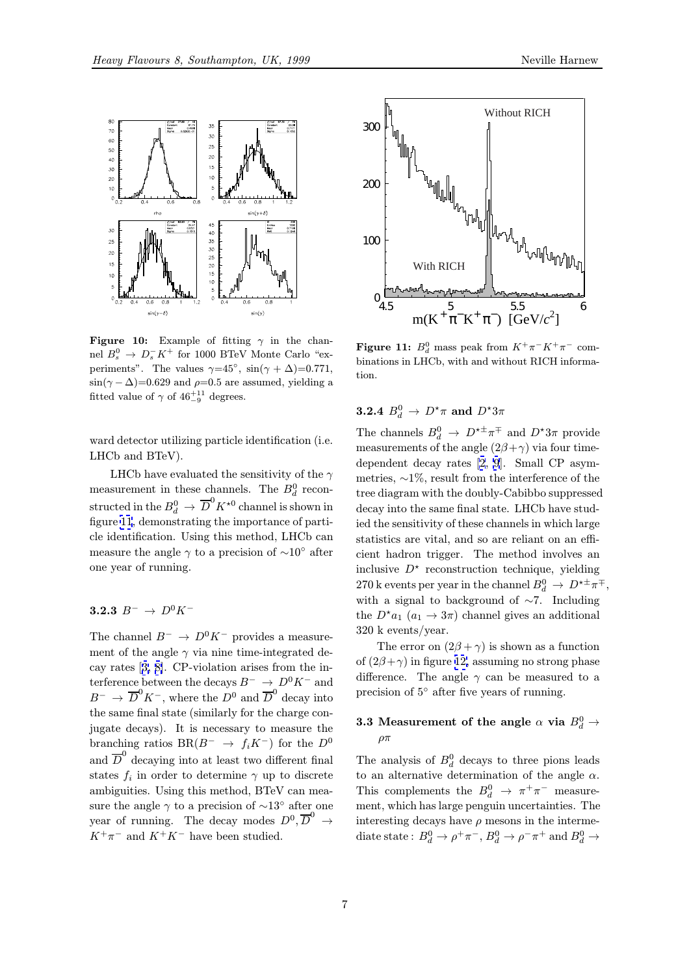<span id="page-6-0"></span>

Figure 10: Example of fitting  $\gamma$  in the channel  $B_s^0 \rightarrow D_s^- K^+$  for 1000 BTeV Monte Carlo "experiments". The values  $\gamma=45^\circ$ ,  $\sin(\gamma + \Delta)=0.771$ ,  $\sin(\gamma - \Delta) = 0.629$  and  $\rho = 0.5$  are assumed, yielding a fitted value of  $\gamma$  of  $46^{+11}_{-9}$  degrees.

ward detector utilizing particle identification (i.e. LHCb and BTeV).

LHCb have evaluated the sensitivity of the  $\gamma$ measurement in these channels. The  $B_d^0$  reconstructed in the  $B^0_d \to \overline{D}^0 K^{\star 0}$  channel is shown in figure 11, demonstrating the importance of particle identification. Using this method, LHCb can measure the angle  $\gamma$  to a precision of  $\sim 10^{\circ}$  after one year of running.

# 3.2.3  $B^- \to D^0 K^-$

The channel  $B^- \to D^0 K^-$  provides a measurement of the angle  $\gamma$  via nine time-integrated decay rates [3, 8]. CP-violation arises from the interference between the decays  $B^- \to D^0 K^-$  and  $B^ \rightarrow \overline{D}^0 K^-$ , where the  $\overline{D}^0$  and  $\overline{D}^0$  decay into the same final state (similarly for the charge conjugate de[cays\)](#page-9-0). It is necessary to measure the branching ratios BR( $B^ \rightarrow$   $f_i K^-$ ) for the  $D^0$ and  $\overline{D}^0$  decaying into at least two different final states  $f_i$  in order to determine  $\gamma$  up to discrete ambiguities. Using this method, BTeV can measure the angle  $\gamma$  to a precision of  $\sim$ 13° after one year of running. The decay modes  $D^0$ ,  $\overline{D}^0 \rightarrow$  $K^+\pi^-$  and  $K^+K^-$  have been studied.



**Figure 11:**  $B_d^0$  mass peak from  $K^+\pi^-K^+\pi^-$  com-<br>binations in LICh, with and without PICU informs binations in LHCb, with and without RICH information.

# **3.2.4**  $B_d^0 \rightarrow D^{\star}\pi$  and  $D^{\star}3\pi$

The channels  $B_d^0 \to D^{*\pm} \pi^{\mp}$  and  $D^{*\, 3\pi}$  provide measurements of the angle  $(2\beta + \gamma)$  via four timedependent decay rates [2, 9]. Small CP asymmetries, ∼1%, result from the interference of the tree diagram with the doubly-Cabibbo suppressed decay into the same final state. LHCb have studied the sensitivity of thes[e](#page-9-0) c[ha](#page-9-0)nnels in which large statistics are vital, and so are reliant on an efficient hadron trigger. The method involves an inclusive  $D^*$  reconstruction technique, yielding 270 k events per year in the channel  $B^0_d \to D^{*\pm} \pi^{\mp}$ , with a signal to background of ∼7. Including the  $D^{\star}a_1$   $(a_1 \rightarrow 3\pi)$  channel gives an additional 320 k events/year.

The error on  $(2\beta + \gamma)$  is shown as a function of  $(2\beta+\gamma)$  in figure 12, assuming no strong phase difference. The angle  $\gamma$  can be measured to a precision of 5◦ after five years of running.

### 3.3 Measuremen[t o](#page-7-0)f the angle  $\alpha$  via  $B^0_d \rightarrow$ ρπ

The analysis of  $B_d^0$  decays to three pions leads to an alternative determination of the angle  $\alpha$ . This complements the  $B_d^0 \to \pi^+\pi^-$  measurement, which has large penguin uncertainties. The interesting decays have  $\rho$  mesons in the intermediate state :  $B_d^0 \to \rho^+ \pi^-$ ,  $B_d^0 \to \rho^- \pi^+$  and  $B_d^0 \to$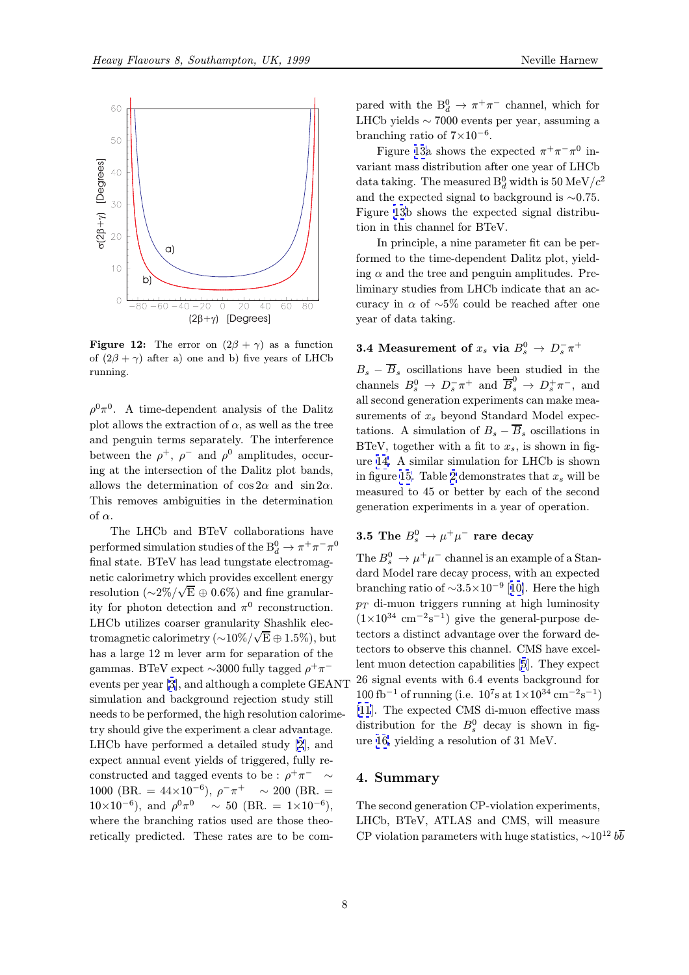<span id="page-7-0"></span>

**Figure 12:** The error on  $(2\beta + \gamma)$  as a function of  $(2\beta + \gamma)$  after a) one and b) five years of LHCb running.

 $\rho^0 \pi^0$ . A time-dependent analysis of the Dalitz plot allows the extraction of  $\alpha$ , as well as the tree and penguin terms separately. The interference between the  $\rho^+$ ,  $\rho^-$  and  $\rho^0$  amplitudes, occuring at the intersection of the Dalitz plot bands, allows the determination of  $\cos 2\alpha$  and  $\sin 2\alpha$ . This removes ambiguities in the determination of  $\alpha$ .

The LHCb and BTeV collaborations have performed simulation studies of the  $B_d^0 \to \pi^+ \pi^- \pi^0$ final state. BTeV has lead tungstate electromagnetic calorimetry which provides excellent energy resolution  $({\sim}2\%/\sqrt{\text{E}} \oplus 0.6\%)$  and fine granularity for photon detection and  $\pi^0$  reconstruction. LHCb utilizes coarser granularity Shashlik electromagnetic calorimetry ( $\sim$ 10%/ $\sqrt{\text{E}} \oplus 1.5\%$ ), but has a large 12 m lever arm for separation of the gammas. BTeV expect  $\sim$ 3000 fully tagged  $\rho^+\pi^$ events per year [3], and although a complete GEANT simulation and background rejection study still needs to be performed, the high resolution calorimetry should give the experiment a clear advantage. LHCb have per[fo](#page-9-0)rmed a detailed study [2], and expect annual event yields of triggered, fully reconstructed and tagged events to be :  $\rho^+\pi^-$  ∼ 1000 (BR. =  $44\times10^{-6}$ ),  $\rho^{-}\pi^{+}$  ~ 200 (BR. =  $10\times10^{-6}$ ), and  $\rho^0\pi^0 \sim 50$  (BR. =  $1\times10^{-6}$ ), where the branching ratios used are those theoretically predicted. These rates are to be com-

pared with the  $B_d^0 \to \pi^+\pi^-$  channel, which for LHCb yields ∼ 7000 events per year, assuming a branching ratio of  $7\times10^{-6}$ .

Figure 13a shows the expected  $\pi^+\pi^-\pi^0$  invariant mass distribution after one year of LHCb  $\rm{data \ taking.} \; \; \rm{The \; measured} \; B_d^0 \; \rm{width \; is} \; 50 \; \rm{MeV}/c^2$ and the expected signal to background is ∼0.75. Figure 13b [sh](#page-8-0)ows the expected signal distribution in this channel for BTeV.

In principle, a nine parameter fit can be performed to the time-dependent Dalitz plot, yielding  $\alpha$  a[nd](#page-8-0) the tree and penguin amplitudes. Preliminary studies from LHCb indicate that an accuracy in  $\alpha$  of  $\sim 5\%$  could be reached after one year of data taking.

# 3.4 Measurement of  $x_s$  via  $B_s^0 \rightarrow D_s^- \pi^+$

 $B_s - \overline{B}_s$  oscillations have been studied in the channels  $B_s^0 \to D_s^- \pi^+$  and  $\overline{B}_s^0 \to D_s^+ \pi^-$ , and all second generation experiments can make measurements of  $x_s$  beyond Standard Model expectations. A simulation of  $B_s - \overline{B}_s$  oscillations in BTeV, together with a fit to  $x_s$ , is shown in figure 14. A similar simulation for LHCb is shown in figure 15. Table 2 demonstrates that  $x_s$  will be measured to 45 or better by each of the second gen[era](#page-8-0)tion experiments in a year of operation.

# 3.5 The  $B_s^0 \to \mu^+ \mu^ B_s^0 \to \mu^+ \mu^ B_s^0 \to \mu^+ \mu^ B_s^0 \to \mu^+ \mu^-$  rare decay

The  $B_s^0 \to \mu^+\mu^-$  channel is an example of a Standard Model rare decay process, with an expected branching ratio of  $\sim$ 3.5×10<sup>-9</sup> [10]. Here the high  $p_T$  di-muon triggers running at high luminosity  $(1\times10^{34} \text{ cm}^{-2}\text{s}^{-1})$  give the general-purpose detectors a distinct advantage over the forward detectors to observe this channel[. C](#page-9-0)MS have excellent muon detection capabilities [5]. They expect 26 signal events with 6.4 events background for  $100 \text{ fb}^{-1}$  of running (i.e.  $10^7 \text{s}$  at  $1 \times 10^{34} \text{ cm}^{-2} \text{s}^{-1}$ ) [11]. The expected CMS di-muon effective mass di[s](#page-9-0)tribution for the  $B_s^0$  decay is shown in figure 16, yielding a resolution of 31 MeV.

### [4.](#page-9-0) Summary

The [se](#page-9-0)cond generation CP-violation experiments, LHCb, BTeV, ATLAS and CMS, will measure CP violation parameters with huge statistics,  $\sim 10^{12} b \overline{b}$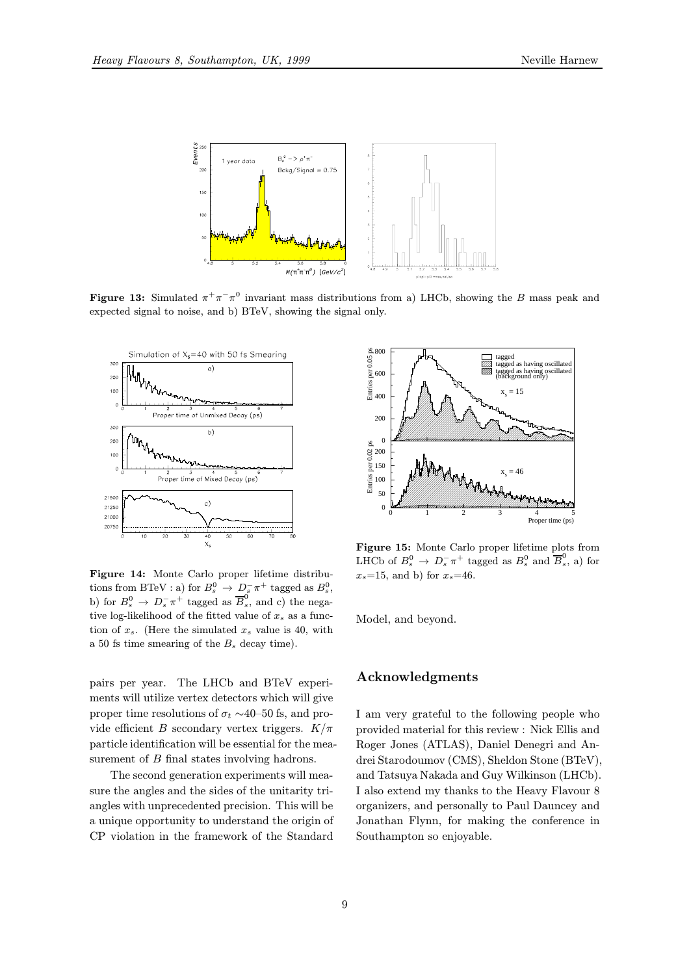<span id="page-8-0"></span>

**Figure 13:** Simulated  $\pi^{+}\pi^{-}\pi^{0}$  invariant mass distributions from a) LHCb, showing the B mass peak and expected signal to noise, and b) BTeV, showing the signal only.



Figure 14: Monte Carlo proper lifetime distributions from BTeV : a) for  $B_s^0 \to \underline{D_s^-} \pi^+$  tagged as  $B_s^0$ , b) for  $B_s^0 \rightarrow D_s^- \pi^+$  tagged as  $\overline{B}_s^0$ , and c) the negative log-likelihood of the fitted value of  $x_s$  as a function of  $x_s$ . (Here the simulated  $x_s$  value is 40, with a 50 fs time smearing of the  $B_s$  decay time).

pairs per year. The LHCb and BTeV experiments will utilize vertex detectors which will give proper time resolutions of  $\sigma_t \sim 40–50$  fs, and provide efficient B secondary vertex triggers.  $K/\pi$ particle identification will be essential for the measurement of B final states involving hadrons.

The second generation experiments will measure the angles and the sides of the unitarity triangles with unprecedented precision. This will be a unique opportunity to understand the origin of CP violation in the framework of the Standard



Figure 15: Monte Carlo proper lifetime plots from LHCb of  $B_s^0 \to D_s^- \pi^+$  tagged as  $B_s^0$  and  $\overline{B}_s^0$ , a) for  $x_s=15$ , and b) for  $x_s=46$ .

Model, and beyond.

### Acknowledgments

I am very grateful to the following people who provided material for this review : Nick Ellis and Roger Jones (ATLAS), Daniel Denegri and Andrei Starodoumov (CMS), Sheldon Stone (BTeV), and Tatsuya Nakada and Guy Wilkinson (LHCb). I also extend my thanks to the Heavy Flavour 8 organizers, and personally to Paul Dauncey and Jonathan Flynn, for making the conference in Southampton so enjoyable.